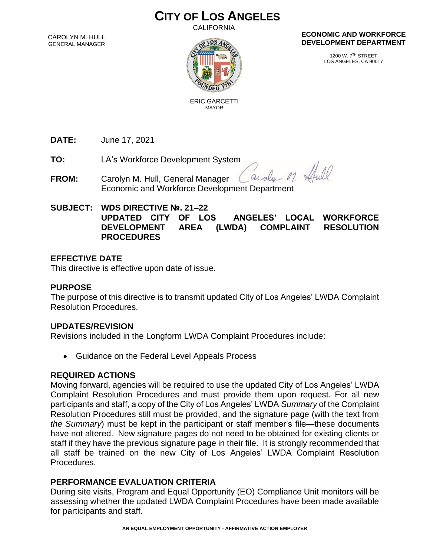# **CITY OF LOS ANGELES**

CALIFORNIA

CAROLYN M. HULL GENERAL MANAGER



#### **ECONOMIC AND WORKFORCE DEVELOPMENT DEPARTMENT**

1200 W. 7TH STREET LOS ANGELES, CA 90017

 ERIC GARCETTI MAYOR

**DATE:** June 17, 2021

**TO:** LA's Workforce Development System

11.00 aroly **FROM:** Carolyn M. Hull, General Manager Economic and Workforce Development Department

### **SUBJECT: WDS DIRECTIVE №. 21–22**

**UPDATED CITY OF LOS ANGELES' LOCAL WORKFORCE DEVELOPMENT AREA (LWDA) COMPLAINT RESOLUTION PROCEDURES**

### **EFFECTIVE DATE**

This directive is effective upon date of issue.

### **PURPOSE**

The purpose of this directive is to transmit updated City of Los Angeles' LWDA Complaint Resolution Procedures.

### **UPDATES/REVISION**

Revisions included in the Longform LWDA Complaint Procedures include:

• Guidance on the Federal Level Appeals Process

### **REQUIRED ACTIONS**

Moving forward, agencies will be required to use the updated City of Los Angeles' LWDA Complaint Resolution Procedures and must provide them upon request. For all new participants and staff, a copy of the City of Los Angeles' LWDA *Summary* of the Complaint Resolution Procedures still must be provided, and the signature page (with the text from *the Summary*) must be kept in the participant or staff member's file—these documents have not altered. New signature pages do not need to be obtained for existing clients or staff if they have the previous signature page in their file. It is strongly recommended that all staff be trained on the new City of Los Angeles' LWDA Complaint Resolution Procedures.

## **PERFORMANCE EVALUATION CRITERIA**

During site visits, Program and Equal Opportunity (EO) Compliance Unit monitors will be assessing whether the updated LWDA Complaint Procedures have been made available for participants and staff.